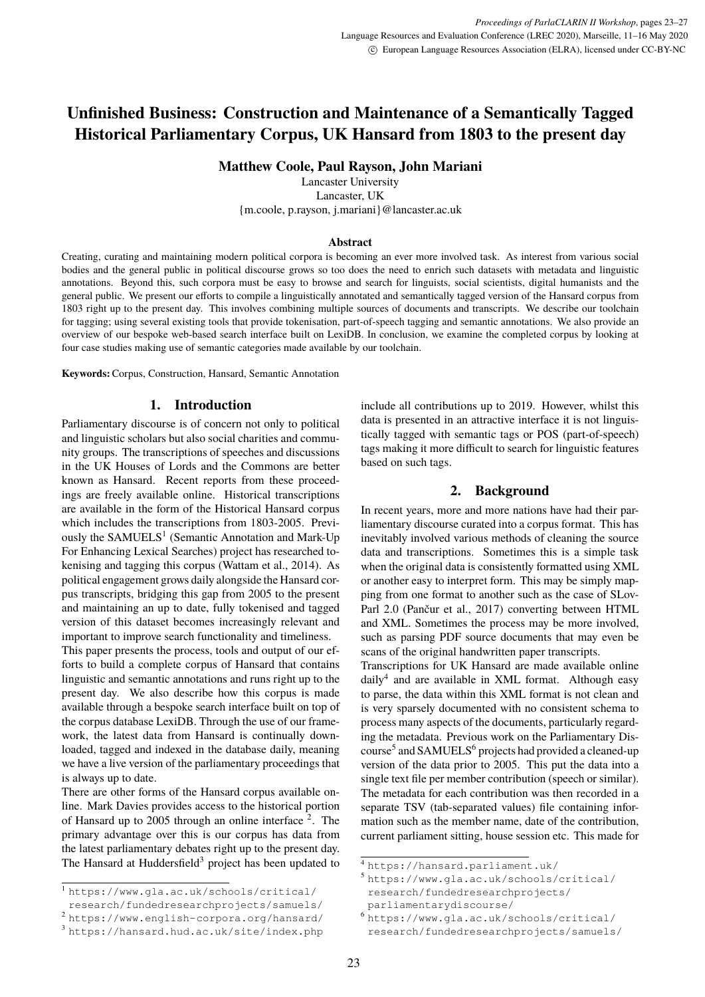# <span id="page-0-0"></span>**Unfinished Business: Construction and Maintenance of a Semantically Tagged Historical Parliamentary Corpus, UK Hansard from 1803 to the present day**

**Matthew Coole, Paul Rayson, John Mariani**

Lancaster University Lancaster, UK {m.coole, p.rayson, j.mariani}@lancaster.ac.uk

#### **Abstract**

Creating, curating and maintaining modern political corpora is becoming an ever more involved task. As interest from various social bodies and the general public in political discourse grows so too does the need to enrich such datasets with metadata and linguistic annotations. Beyond this, such corpora must be easy to browse and search for linguists, social scientists, digital humanists and the general public. We present our efforts to compile a linguistically annotated and semantically tagged version of the Hansard corpus from 1803 right up to the present day. This involves combining multiple sources of documents and transcripts. We describe our toolchain for tagging; using several existing tools that provide tokenisation, part-of-speech tagging and semantic annotations. We also provide an overview of our bespoke web-based search interface built on LexiDB. In conclusion, we examine the completed corpus by looking at four case studies making use of semantic categories made available by our toolchain.

**Keywords:**Corpus, Construction, Hansard, Semantic Annotation

#### **1. Introduction**

Parliamentary discourse is of concern not only to political and linguistic scholars but also social charities and community groups. The transcriptions of speeches and discussions in the UK Houses of Lords and the Commons are better known as Hansard. Recent reports from these proceedings are freely available online. Historical transcriptions are available in the form of the Historical Hansard corpus which includes the transcriptions from 1803-2005. Previously the SAMUELS<sup>1</sup> (Semantic Annotation and Mark-Up For Enhancing Lexical Searches) project has researched tokenising and tagging this corpus (Wattam et al., 2014). As political engagement grows daily alongside the Hansard corpus transcripts, bridging this gap from 2005 to the present and maintaining an up to date, fully tokenised and tagged version of this dataset becomes increasingly relevant and important to improve search functionality and timeliness.

This paper presents the process, tools and output of our efforts to build a complete corpus of Hansard that contains linguistic and semantic annotations and runs right up to the present day. We also describe how this corpus is made available through a bespoke search interface built on top of the corpus database LexiDB. Through the use of our framework, the latest data from Hansard is continually downloaded, tagged and indexed in the database daily, meaning we have a live version of the parliamentary proceedings that is always up to date.

There are other forms of the Hansard corpus available online. Mark Davies provides access to the historical portion of Hansard up to 2005 through an online interface <sup>2</sup>. The primary advantage over this is our corpus has data from the latest parliamentary debates right up to the present day. The Hansard at Huddersfield<sup>3</sup> project has been updated to include all contributions up to 2019. However, whilst this data is presented in an attractive interface it is not linguistically tagged with semantic tags or POS (part-of-speech) tags making it more difficult to search for linguistic features based on such tags.

#### **2. Background**

<span id="page-0-1"></span>In recent years, more and more nations have had their parliamentary discourse curated into a corpus format. This has inevitably involved various methods of cleaning the source data and transcriptions. Sometimes this is a simple task when the original data is consistently formatted using XML or another easy to interpret form. This may be simply mapping from one format to another such as the case of SLov-Parl 2.0 (Pančur et al., 2017) converting between HTML and XML. Sometimes the process may be more involved, such as parsing PDF source documents that may even be scans of the original handwritten paper transcripts.

Transcriptions for UK Hansard are made available online daily<sup>4</sup> and are available in XML format. Although easy to parse, the data within this XML format is not clean and is very sparsely documented with no consistent schema to process many aspects of the documents, particularly regarding the metadata. Previous work on the Parliamentary Discourse<sup>5</sup> and SAMUELS<sup>6</sup> projects had provided a cleaned-up version of the data prior to 2005. This put the data into a single text file per member contribution (speech or similar). The metadata for each contribution was then recorded in a separate TSV (tab-separated values) file containing information such as the member name, date of the contribution, current parliament sitting, house session etc. This made for

<sup>1</sup> [https://www.gla.ac.uk/schools/critical/](https://www.gla.ac.uk/schools/critical/research/fundedresearchprojects/samuels/)

[research/fundedresearchprojects/samuels/](https://www.gla.ac.uk/schools/critical/research/fundedresearchprojects/samuels/)

<sup>2</sup> <https://www.english-corpora.org/hansard/>

<sup>3</sup> <https://hansard.hud.ac.uk/site/index.php>

<sup>4</sup> <https://hansard.parliament.uk/>

<sup>5</sup> [https://www.gla.ac.uk/schools/critical/](https://www.gla.ac.uk/schools/critical/research/fundedresearchprojects/parliamentarydiscourse/) [research/fundedresearchprojects/](https://www.gla.ac.uk/schools/critical/research/fundedresearchprojects/parliamentarydiscourse/) [parliamentarydiscourse/](https://www.gla.ac.uk/schools/critical/research/fundedresearchprojects/parliamentarydiscourse/)

<sup>6</sup> [https://www.gla.ac.uk/schools/critical/](https://www.gla.ac.uk/schools/critical/research/fundedresearchprojects/samuels/) [research/fundedresearchprojects/samuels/](https://www.gla.ac.uk/schools/critical/research/fundedresearchprojects/samuels/)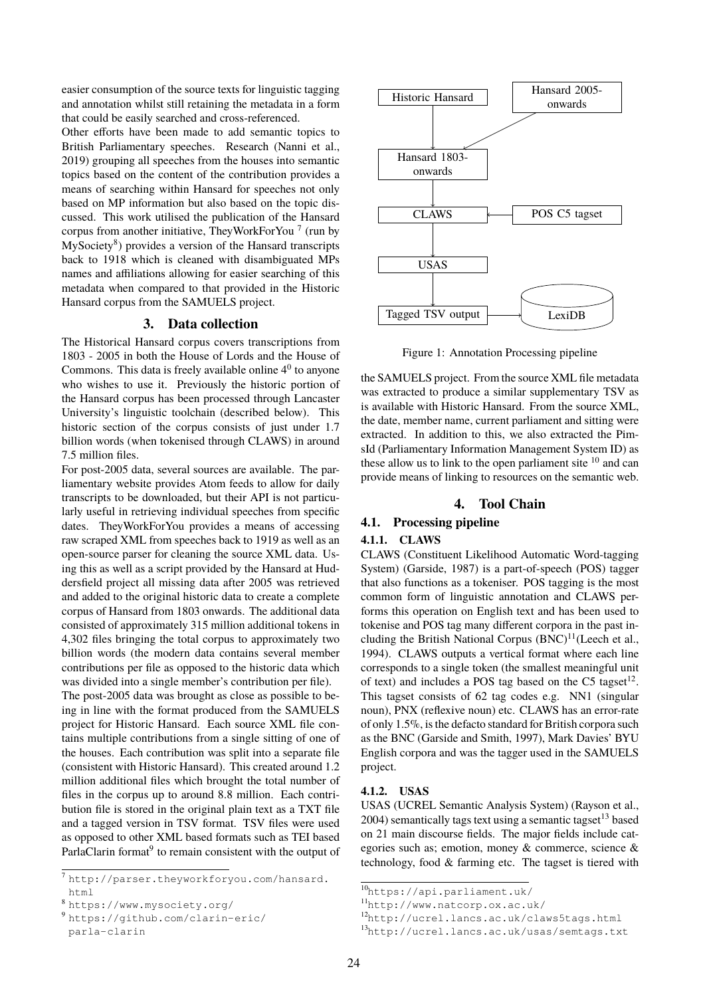easier consumption of the source texts for linguistic tagging and annotation whilst still retaining the metadata in a form that could be easily searched and cross-referenced.

Other efforts have been made to add semantic topics to British Parliamentary speeches. Research [\(Nanni et al.,](#page-0-0) [2019\)](#page-0-0) grouping all speeches from the houses into semantic topics based on the content of the contribution provides a means of searching within Hansard for speeches not only based on MP information but also based on the topic discussed. This work utilised the publication of the Hansard corpus from another initiative, TheyWorkForYou<sup>[7](#page-0-0)</sup> (run by MySociety<sup>[8](#page-0-0)</sup>) provides a version of the Hansard transcripts back to 1918 which is cleaned with disambiguated MPs names and affiliations allowing for easier searching of this metadata when compared to that provided in the Historic Hansard corpus from the SAMUELS project.

## **3. Data collection**

The Historical Hansard corpus covers transcriptions from 1803 - 2005 in both the House of Lords and the House of Commons. This data is freely available online  $4<sup>0</sup>$  to anyone who wishes to use it. Previously the historic portion of the Hansard corpus has been processed through Lancaster University's linguistic toolchain (described below). This historic section of the corpus consists of just under 1.7 billion words (when tokenised through CLAWS) in around 7.5 million files.

For post-2005 data, several sources are available. The parliamentary website provides Atom feeds to allow for daily transcripts to be downloaded, but their API is not particularly useful in retrieving individual speeches from specific dates. TheyWorkForYou provides a means of accessing raw scraped XML from speeches back to 1919 as well as an open-source parser for cleaning the source XML data. Using this as well as a script provided by the Hansard at Huddersfield project all missing data after 2005 was retrieved and added to the original historic data to create a complete corpus of Hansard from 1803 onwards. The additional data consisted of approximately 315 million additional tokens in 4,302 files bringing the total corpus to approximately two billion words (the modern data contains several member contributions per file as opposed to the historic data which was divided into a single member's contribution per file).

The post-2005 data was brought as close as possible to being in line with the format produced from the SAMUELS project for Historic Hansard. Each source XML file contains multiple contributions from a single sitting of one of the houses. Each contribution was split into a separate file (consistent with Historic Hansard). This created around 1.2 million additional files which brought the total number of files in the corpus up to around 8.8 million. Each contribution file is stored in the original plain text as a TXT file and a tagged version in TSV format. TSV files were used as opposed to other XML based formats such as TEI based ParlaClarin format<sup>[9](#page-0-0)</sup> to remain consistent with the output of



Figure 1: Annotation Processing pipeline

the SAMUELS project. From the source XML file metadata was extracted to produce a similar supplementary TSV as is available with Historic Hansard. From the source XML, the date, member name, current parliament and sitting were extracted. In addition to this, we also extracted the PimsId (Parliamentary Information Management System ID) as these allow us to link to the open parliament site  $10$  and can provide means of linking to resources on the semantic web.

## **4. Tool Chain**

#### **4.1. Processing pipeline**

#### **4.1.1. CLAWS**

CLAWS (Constituent Likelihood Automatic Word-tagging System) [\(Garside, 1987\)](#page-0-0) is a part-of-speech (POS) tagger that also functions as a tokeniser. POS tagging is the most common form of linguistic annotation and CLAWS performs this operation on English text and has been used to tokenise and POS tag many different corpora in the past including the British National Corpus  $(BNC)^{11}$  $(BNC)^{11}$  $(BNC)^{11}$ [\(Leech et al.,](#page-0-0) [1994\)](#page-0-0). CLAWS outputs a vertical format where each line corresponds to a single token (the smallest meaningful unit of text) and includes a POS tag based on the C5 tagset<sup>[12](#page-0-0)</sup>. This tagset consists of 62 tag codes e.g. NN1 (singular noun), PNX (reflexive noun) etc. CLAWS has an error-rate of only 1.5%, is the defacto standard for British corpora such as the BNC [\(Garside and Smith, 1997\)](#page-0-0), Mark Davies' BYU English corpora and was the tagger used in the SAMUELS project.

#### **4.1.2. USAS**

USAS (UCREL Semantic Analysis System) [\(Rayson et al.,](#page-0-0)  $2004$ ) semantically tags text using a semantic tagset<sup>[13](#page-0-0)</sup> based on 21 main discourse fields. The major fields include categories such as; emotion, money & commerce, science & technology, food & farming etc. The tagset is tiered with

<sup>7</sup> [http://parser.theyworkforyou.com/hansard.](http://parser.theyworkforyou.com/hansard.html) [html](http://parser.theyworkforyou.com/hansard.html)

<https://www.mysociety.org/>

<sup>9</sup> [https://github.com/clarin-eric/](https://github.com/clarin-eric/parla-clarin) [parla-clarin](https://github.com/clarin-eric/parla-clarin)

<sup>10</sup><https://api.parliament.uk/>

<sup>11</sup><http://www.natcorp.ox.ac.uk/>

<sup>12</sup><http://ucrel.lancs.ac.uk/claws5tags.html>

<sup>13</sup><http://ucrel.lancs.ac.uk/usas/semtags.txt>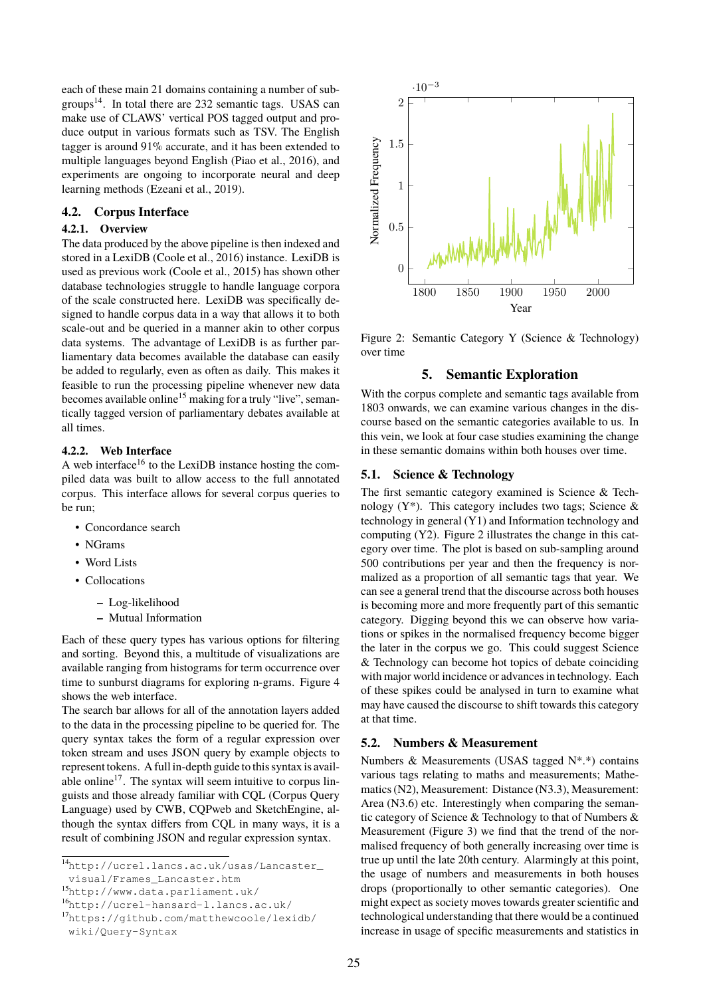each of these main 21 domains containing a number of sub-groups<sup>[14](#page-0-0)</sup>. In total there are 232 semantic tags. USAS can make use of CLAWS' vertical POS tagged output and produce output in various formats such as TSV. The English tagger is around 91% accurate, and it has been extended to multiple languages beyond English [\(Piao et al., 2016\)](#page-0-0), and experiments are ongoing to incorporate neural and deep learning methods [\(Ezeani et al., 2019\)](#page-0-0).

## **4.2. Corpus Interface**

## **4.2.1. Overview**

The data produced by the above pipeline is then indexed and stored in a LexiDB [\(Coole et al., 2016\)](#page-0-0) instance. LexiDB is used as previous work [\(Coole et al., 2015\)](#page-0-0) has shown other database technologies struggle to handle language corpora of the scale constructed here. LexiDB was specifically designed to handle corpus data in a way that allows it to both scale-out and be queried in a manner akin to other corpus data systems. The advantage of LexiDB is as further parliamentary data becomes available the database can easily be added to regularly, even as often as daily. This makes it feasible to run the processing pipeline whenever new data becomes available online<sup>[15](#page-0-0)</sup> making for a truly "live", semantically tagged version of parliamentary debates available at all times.

## **4.2.2. Web Interface**

A web interface<sup>[16](#page-0-0)</sup> to the LexiDB instance hosting the compiled data was built to allow access to the full annotated corpus. This interface allows for several corpus queries to be run;

- Concordance search
- NGrams
- Word Lists
- Collocations
	- **–** Log-likelihood
	- **–** Mutual Information

Each of these query types has various options for filtering and sorting. Beyond this, a multitude of visualizations are available ranging from histograms for term occurrence over time to sunburst diagrams for exploring n-grams. Figure [4](#page-3-0) shows the web interface.

The search bar allows for all of the annotation layers added to the data in the processing pipeline to be queried for. The query syntax takes the form of a regular expression over token stream and uses JSON query by example objects to represent tokens. A full in-depth guide to this syntax is avail-able online<sup>[17](#page-0-0)</sup>. The syntax will seem intuitive to corpus linguists and those already familiar with CQL (Corpus Query Language) used by CWB, CQPweb and SketchEngine, although the syntax differs from CQL in many ways, it is a result of combining JSON and regular expression syntax.



Figure 2: Semantic Category Y (Science & Technology) over time

#### <span id="page-2-0"></span>**5. Semantic Exploration**

With the corpus complete and semantic tags available from 1803 onwards, we can examine various changes in the discourse based on the semantic categories available to us. In this vein, we look at four case studies examining the change in these semantic domains within both houses over time.

## **5.1. Science & Technology**

The first semantic category examined is Science & Technology  $(Y^*)$ . This category includes two tags; Science & technology in general (Y1) and Information technology and computing (Y2). Figure [2](#page-2-0) illustrates the change in this category over time. The plot is based on sub-sampling around 500 contributions per year and then the frequency is normalized as a proportion of all semantic tags that year. We can see a general trend that the discourse across both houses is becoming more and more frequently part of this semantic category. Digging beyond this we can observe how variations or spikes in the normalised frequency become bigger the later in the corpus we go. This could suggest Science & Technology can become hot topics of debate coinciding with major world incidence or advances in technology. Each of these spikes could be analysed in turn to examine what may have caused the discourse to shift towards this category at that time.

#### **5.2. Numbers & Measurement**

Numbers & Measurements (USAS tagged N\*.\*) contains various tags relating to maths and measurements; Mathematics (N2), Measurement: Distance (N3.3), Measurement: Area (N3.6) etc. Interestingly when comparing the semantic category of Science & Technology to that of Numbers & Measurement (Figure [3\)](#page-3-1) we find that the trend of the normalised frequency of both generally increasing over time is true up until the late 20th century. Alarmingly at this point, the usage of numbers and measurements in both houses drops (proportionally to other semantic categories). One might expect as society moves towards greater scientific and technological understanding that there would be a continued increase in usage of specific measurements and statistics in

<sup>14</sup>[http://ucrel.lancs.ac.uk/usas/Lancaster\\_](http://ucrel.lancs.ac.uk/usas/Lancaster_visual/Frames_Lancaster.htm) [visual/Frames\\_Lancaster.htm](http://ucrel.lancs.ac.uk/usas/Lancaster_visual/Frames_Lancaster.htm)

<sup>15</sup><http://www.data.parliament.uk/>

<sup>16</sup><http://ucrel-hansard-l.lancs.ac.uk/>

<sup>17</sup>[https://github.com/matthewcoole/lexidb/](https://github.com/matthewcoole/lexidb/wiki/Query-Syntax) [wiki/Query-Syntax](https://github.com/matthewcoole/lexidb/wiki/Query-Syntax)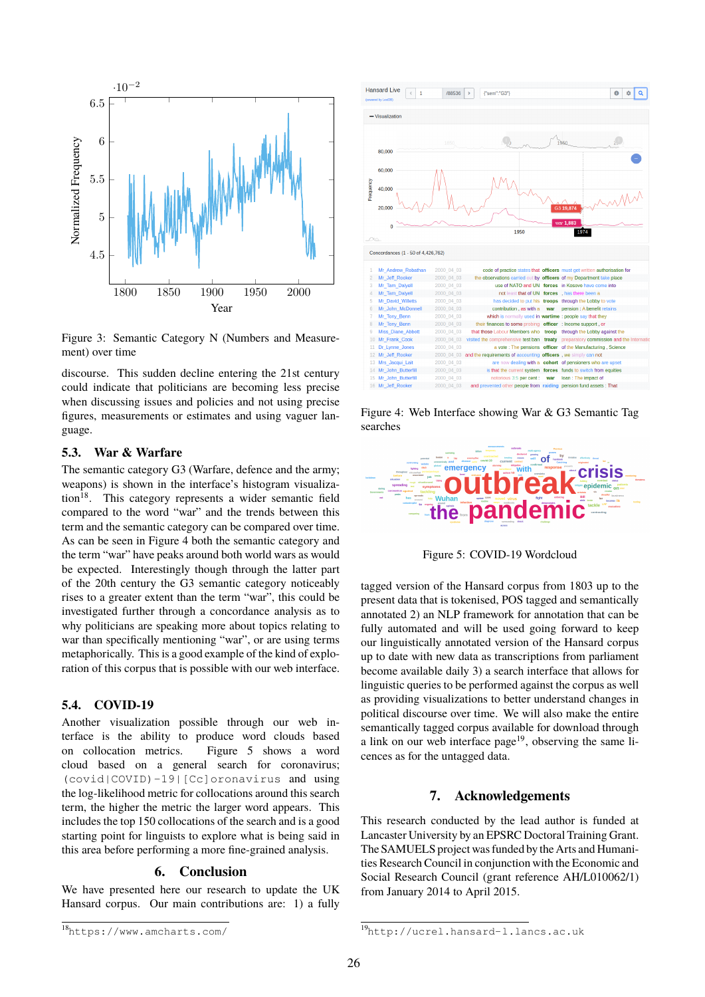

<span id="page-3-1"></span>Figure 3: Semantic Category N (Numbers and Measurement) over time

discourse. This sudden decline entering the 21st century could indicate that politicians are becoming less precise when discussing issues and policies and not using precise figures, measurements or estimates and using vaguer language.

## **5.3. War & Warfare**

The semantic category G3 (Warfare, defence and the army; weapons) is shown in the interface's histogram visualiza-tion<sup>[18](#page-0-0)</sup>. This category represents a wider semantic field compared to the word "war" and the trends between this term and the semantic category can be compared over time. As can be seen in Figure [4](#page-3-0) both the semantic category and the term "war" have peaks around both world wars as would be expected. Interestingly though through the latter part of the 20th century the G3 semantic category noticeably rises to a greater extent than the term "war", this could be investigated further through a concordance analysis as to why politicians are speaking more about topics relating to war than specifically mentioning "war", or are using terms metaphorically. This is a good example of the kind of exploration of this corpus that is possible with our web interface.

# **5.4. COVID-19**

Another visualization possible through our web interface is the ability to produce word clouds based on collocation metrics. Figure [5](#page-3-2) shows a word cloud based on a general search for coronavirus; (covid|COVID)-19|[Cc]oronavirus and using the log-likelihood metric for collocations around this search term, the higher the metric the larger word appears. This includes the top 150 collocations of the search and is a good starting point for linguists to explore what is being said in this area before performing a more fine-grained analysis.

### **6. Conclusion**

We have presented here our research to update the UK Hansard corpus. Our main contributions are: 1) a fully



<span id="page-3-0"></span>Figure 4: Web Interface showing War & G3 Semantic Tag searches



Figure 5: COVID-19 Wordcloud

<span id="page-3-2"></span>tagged version of the Hansard corpus from 1803 up to the present data that is tokenised, POS tagged and semantically annotated 2) an NLP framework for annotation that can be fully automated and will be used going forward to keep our linguistically annotated version of the Hansard corpus up to date with new data as transcriptions from parliament become available daily 3) a search interface that allows for linguistic queries to be performed against the corpus as well as providing visualizations to better understand changes in political discourse over time. We will also make the entire semantically tagged corpus available for download through a link on our web interface page<sup>[19](#page-0-0)</sup>, observing the same licences as for the untagged data.

## **7. Acknowledgements**

This research conducted by the lead author is funded at Lancaster University by an EPSRC Doctoral Training Grant. The SAMUELS project was funded by the Arts and Humanities Research Council in conjunction with the Economic and Social Research Council (grant reference AH/L010062/1) from January 2014 to April 2015.

<sup>18</sup><https://www.amcharts.com/>

<sup>19</sup><http://ucrel.hansard-l.lancs.ac.uk>